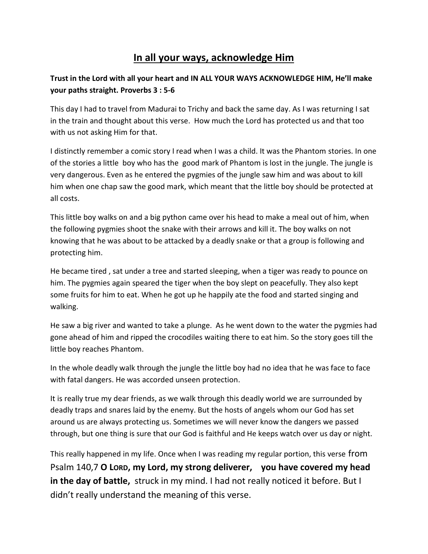## **In all your ways, acknowledge Him**

## **Trust in the Lord with all your heart and IN ALL YOUR WAYS ACKNOWLEDGE HIM, He'll make your paths straight. Proverbs 3 : 5-6**

This day I had to travel from Madurai to Trichy and back the same day. As I was returning I sat in the train and thought about this verse. How much the Lord has protected us and that too with us not asking Him for that.

I distinctly remember a comic story I read when I was a child. It was the Phantom stories. In one of the stories a little boy who has the good mark of Phantom is lost in the jungle. The jungle is very dangerous. Even as he entered the pygmies of the jungle saw him and was about to kill him when one chap saw the good mark, which meant that the little boy should be protected at all costs.

This little boy walks on and a big python came over his head to make a meal out of him, when the following pygmies shoot the snake with their arrows and kill it. The boy walks on not knowing that he was about to be attacked by a deadly snake or that a group is following and protecting him.

He became tired , sat under a tree and started sleeping, when a tiger was ready to pounce on him. The pygmies again speared the tiger when the boy slept on peacefully. They also kept some fruits for him to eat. When he got up he happily ate the food and started singing and walking.

He saw a big river and wanted to take a plunge. As he went down to the water the pygmies had gone ahead of him and ripped the crocodiles waiting there to eat him. So the story goes till the little boy reaches Phantom.

In the whole deadly walk through the jungle the little boy had no idea that he was face to face with fatal dangers. He was accorded unseen protection.

It is really true my dear friends, as we walk through this deadly world we are surrounded by deadly traps and snares laid by the enemy. But the hosts of angels whom our God has set around us are always protecting us. Sometimes we will never know the dangers we passed through, but one thing is sure that our God is faithful and He keeps watch over us day or night.

This really happened in my life. Once when I was reading my regular portion, this verse from Psalm 140,7 O Lord, my Lord, my strong deliverer, you have covered my head **in the day of battle,** struck in my mind. I had not really noticed it before. But I didn't really understand the meaning of this verse.